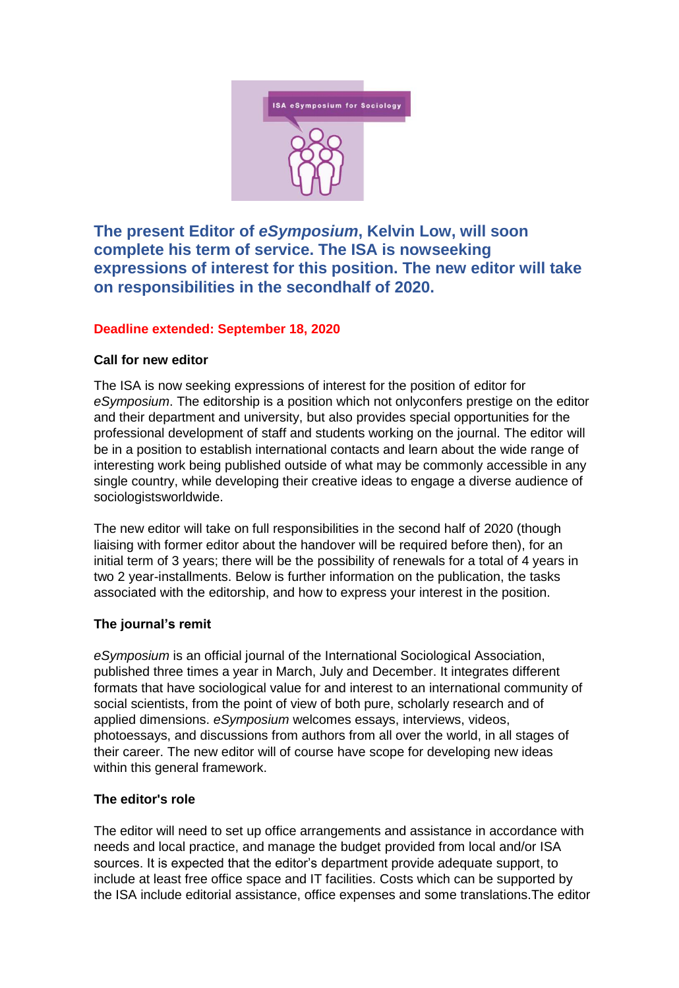

**The present Editor of** *eSymposium***, Kelvin Low, will soon complete his term of service. The ISA is nowseeking expressions of interest for this position. The new editor will take on responsibilities in the secondhalf of 2020.** 

# **Deadline extended: September 18, 2020**

## **Call for new editor**

The ISA is now seeking expressions of interest for the position of editor for *eSymposium*. The editorship is a position which not onlyconfers prestige on the editor and their department and university, but also provides special opportunities for the professional development of staff and students working on the journal. The editor will be in a position to establish international contacts and learn about the wide range of interesting work being published outside of what may be commonly accessible in any single country, while developing their creative ideas to engage a diverse audience of sociologistsworldwide.

The new editor will take on full responsibilities in the second half of 2020 (though liaising with former editor about the handover will be required before then), for an initial term of 3 years; there will be the possibility of renewals for a total of 4 years in two 2 year-installments. Below is further information on the publication, the tasks associated with the editorship, and how to express your interest in the position.

## **The journal's remit**

*eSymposium* is an official journal of the International Sociological Association, published three times a year in March, July and December. It integrates different formats that have sociological value for and interest to an international community of social scientists, from the point of view of both pure, scholarly research and of applied dimensions. *eSymposium* welcomes essays, interviews, videos, photoessays, and discussions from authors from all over the world, in all stages of their career. The new editor will of course have scope for developing new ideas within this general framework.

## **The editor's role**

The editor will need to set up office arrangements and assistance in accordance with needs and local practice, and manage the budget provided from local and/or ISA sources. It is expected that the editor's department provide adequate support, to include at least free office space and IT facilities. Costs which can be supported by the ISA include editorial assistance, office expenses and some translations.The editor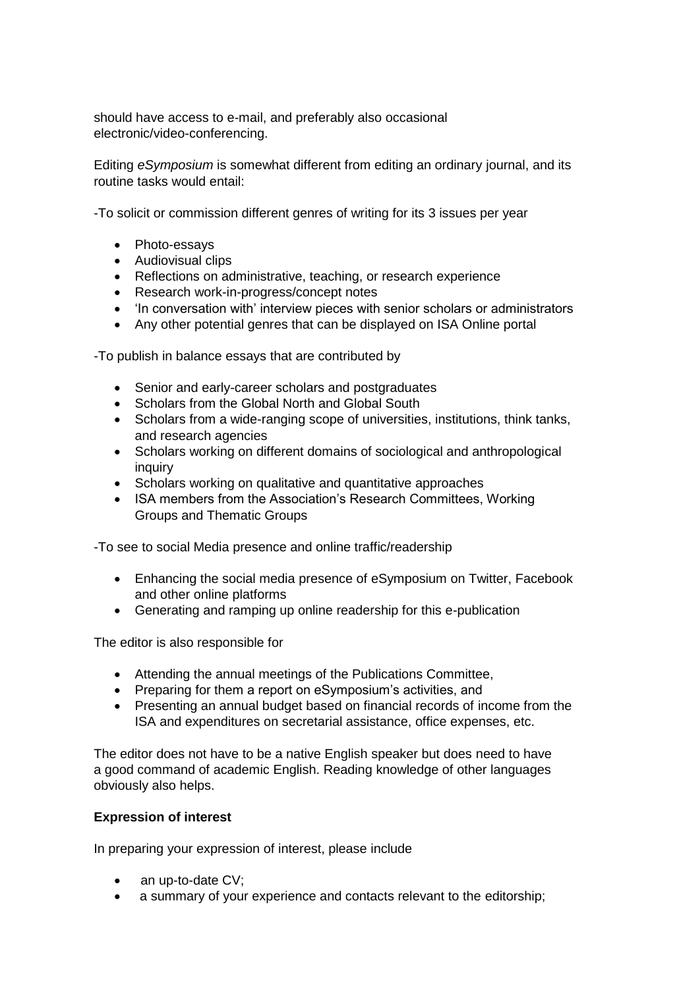should have access to e-mail, and preferably also occasional electronic/video-conferencing.

Editing *eSymposium* is somewhat different from editing an ordinary journal, and its routine tasks would entail:

-To solicit or commission different genres of writing for its 3 issues per year

- Photo-essays
- Audiovisual clips
- Reflections on administrative, teaching, or research experience
- Research work-in-progress/concept notes
- 'In conversation with' interview pieces with senior scholars or administrators
- Any other potential genres that can be displayed on ISA Online portal

-To publish in balance essays that are contributed by

- Senior and early-career scholars and postgraduates
- Scholars from the Global North and Global South
- Scholars from a wide-ranging scope of universities, institutions, think tanks, and research agencies
- Scholars working on different domains of sociological and anthropological inquiry
- Scholars working on qualitative and quantitative approaches
- ISA members from the Association's Research Committees, Working Groups and Thematic Groups

-To see to social Media presence and online traffic/readership

- Enhancing the social media presence of eSymposium on Twitter, Facebook and other online platforms
- Generating and ramping up online readership for this e-publication

The editor is also responsible for

- Attending the annual meetings of the Publications Committee,
- Preparing for them a report on eSymposium's activities, and
- Presenting an annual budget based on financial records of income from the ISA and expenditures on secretarial assistance, office expenses, etc.

The editor does not have to be a native English speaker but does need to have a good command of academic English. Reading knowledge of other languages obviously also helps.

### **Expression of interest**

In preparing your expression of interest, please include

- an up-to-date CV;
- a summary of your experience and contacts relevant to the editorship;